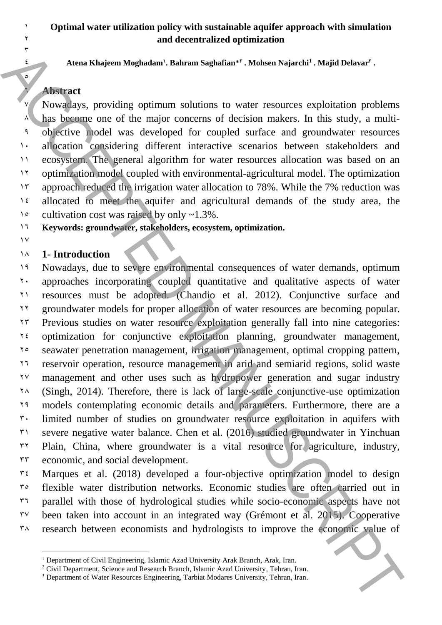## **Optimal water utilization policy with sustainable aquifer approach with simulation and decentralized optimization**

**Atena Khajeem Moghadam<sup>1</sup> . Bahram Saghafian**\* **2 . Mohsen Najarchi<sup>1</sup> . Majid Delavar<sup>3</sup> .**

### **Abstract**

 Nowadays, providing optimum solutions to water resources exploitation problems <sup>8</sup> has become one of the major concerns of decision makers. In this study, a multi- objective model was developed for coupled surface and groundwater resources 1. allocation considering different interactive scenarios between stakeholders and ecosystem. The general algorithm for water resources allocation was based on an optimization model coupled with environmental-agricultural model. The optimization approach reduced the irrigation water allocation to 78%. While the 7% reduction was allocated to meet the aquifer and agricultural demands of the study area, the  $1°$  cultivation cost was raised by only ~1.3%.

**Keywords: groundwater, stakeholders, ecosystem, optimization.**

 $\gamma$ 

 $\overline{\mathbf{Y}}$ 

### **1- Introduction**

 Nowadays, due to severe environmental consequences of water demands, optimum approaches incorporating coupled quantitative and qualitative aspects of water resources must be adopted. (Chandio et al. 2012). Conjunctive surface and groundwater models for proper allocation of water resources are becoming popular. Previous studies on water resource exploitation generally fall into nine categories:  $\alpha$ <sup>24</sup> optimization for conjunctive exploitation planning, groundwater management, seawater penetration management, irrigation management, optimal cropping pattern, reservoir operation, resource management in arid and semiarid regions, solid waste management and other uses such as hydropower generation and sugar industry . Therefore, there is lack of large-scale conjunctive-use optimization models contemplating economic details and parameters. Furthermore, there are a  $\mathfrak{r}$ . limited number of studies on groundwater resource exploitation in aquifers with severe negative water balance. Chen et al. (2016) studied groundwater in Yinchuan  $32 \times 12$  Plain, China, where groundwater is a vital resource for agriculture, industry, economic, and social development. Annua Khajeam [M](#page-2-0)aghalam: Judimus Sughalame". Madwan Nujuchi". Aftive Modare Nujuchi" photolstina photolstina (and the major concerns of decision makers. In this study, a multi-charge one of the major concerns of decision m

 Marques et al. (2018) developed a four-objective optimization model to design flexible water distribution networks. Economic studies are often carried out in parallel with those of hydrological studies while socio-economic aspects have not  $37^\circ$  been taken into account in an integrated way (Grémont et al. 2015). Cooperative  $\lambda$  research between economists and hydrologists to improve the economic value of

<sup>&</sup>lt;sup>1</sup> Department of Civil Engineering, Islamic Azad University Arak Branch, Arak, Iran.

<sup>&</sup>lt;sup>2</sup> Civil Department, Science and Research Branch, Islamic Azad University, Tehran, Iran.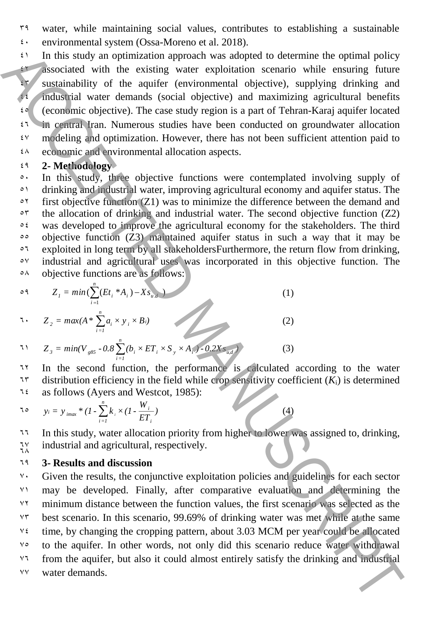$59$  water, while maintaining social values, contributes to establishing a sustainable  $\frac{4}{3}$  environmental system [\(Ossa-Moreno et al. 2018\)](#page-2-4).

 $\mathfrak{t}$  In this study an optimization approach was adopted to determine the optimal policy 42 associated with the existing water exploitation scenario while ensuring future  $45$  sustainability of the aquifer (environmental objective), supplying drinking and 44 industrial water demands (social objective) and maximizing agricultural benefits  $\mathfrak{g}$  (economic objective). The case study region is a part of Tehran-Karaj aquifer located  $\mathfrak{t}^{\dagger}$  in central Iran. Numerous studies have been conducted on groundwater allocation  $\mathfrak{g}_{\mathcal{A}}$  modeling and optimization. However, there has not been sufficient attention paid to  $\frac{4}{8}$  economic and environmental allocation aspects.

## 49 **2- Methodology**

<sup>2</sup> In this study, three objective functions were contemplated involving supply of <sup>21</sup> drinking and industrial water, improving agricultural economy and aquifer status. The  $\circ$ <sup>2</sup> first objective function (Z1) was to minimize the difference between the demand and  $\circ$ <sup>5</sup> the allocation of drinking and industrial water. The second objective function (Z2)  $\circ$  was developed to improve the agricultural economy for the stakeholders. The third 55 objective function (Z3) maintained aquifer status in such a way that it may be <sup> $\circ$ 7</sup> exploited in long term by all stakeholdersFurthermore, the return flow from drinking, 57 industrial and agricultural uses was incorporated in this objective function. The  $\circ$ A objective functions are as follows: The mission operator and proteination and proteination determines for primari policy<br>
and sociated with the existing woder exploration scenario while ensuring future<br>
sociated with the aquifer (verticummental dejective),

$$
Z_{1} = min(\sum_{i=1}^{n} (Et_{i} * A_{i}) - Xs_{u,d})
$$
\n
$$
Z_{2} = max(A * \sum_{i=1}^{n} a_{i} \times y_{i} \times B_{i})
$$
\n(1)

71 
$$
Z_{3} = min(V_{g85} - 0.8 \sum_{i=1}^{n} (b_{i} \times ET_{i} \times S_{y} \times A_{i}) - 0.2 X S_{u,d} \tag{3}
$$

In the second function, the performance is calculated according to the water <sup>15</sup> distribution efficiency in the field while crop sensitivity coefficient  $(K_i)$  is determined  $76$  as follows (Ayers and Westcot, 1985):

$$
\tau \circ \qquad y_i = y_{i\text{max}} * (1 - \sum_{i=1}^n k_i \times (1 - \frac{W_i}{ET_i})
$$

<sup>11</sup> In this study, water allocation priority from higher to lower was assigned to, drinking, industrial and agricultural, respectively. ٦٧<br>7۸

### 69 **3- Results and discussion**

 $\gamma$ . Given the results, the conjunctive exploitation policies and guidelines for each sector 71 may be developed. Finally, after comparative evaluation and determining the  $Y^{\dagger}$  minimum distance between the function values, the first scenario was selected as the  $Y^{\dagger}$  best scenario. In this scenario, 99.69% of drinking water was met while at the same  $\frac{94}{4}$  time, by changing the cropping pattern, about 3.03 MCM per year could be allocated 75 to the aquifer. In other words, not only did this scenario reduce water withdrawal  $\forall \tau$  from the aquifer, but also it could almost entirely satisfy the drinking and industrial 77 water demands.

$$
(\overline{4})
$$